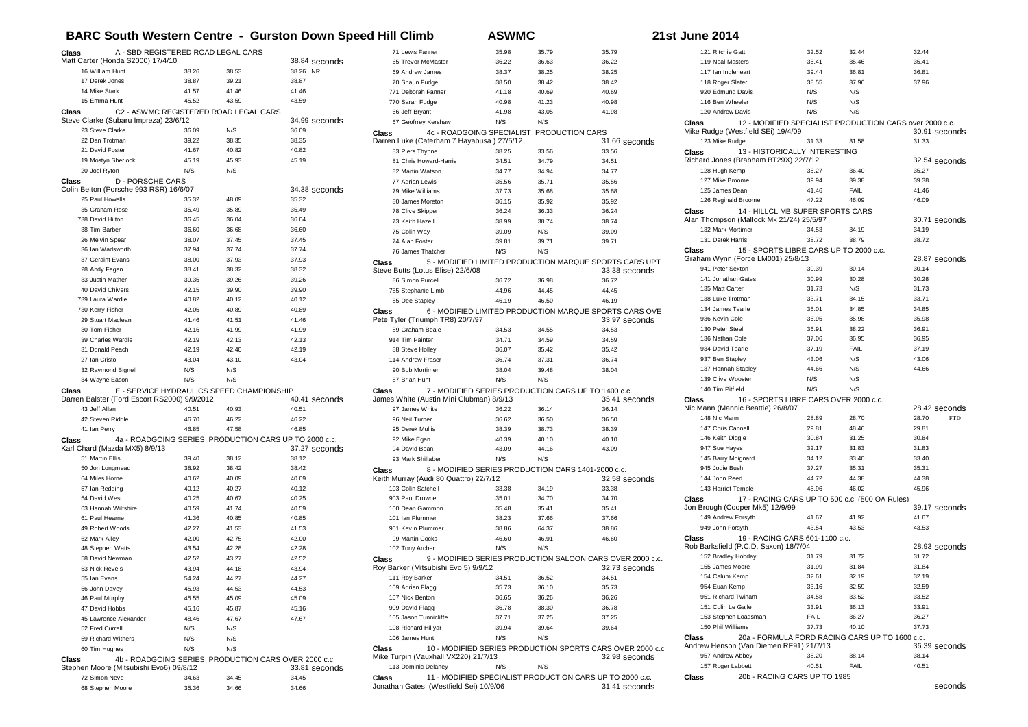## **BARC South Western Centre - Gurston Down Speed Hill Climb ASWMC 21st June 2014**

| Class<br>A - SBD REGISTERED ROAD LEGAL CARS           |                                           |                | 71 Lewis Fanner                                       | 35.98                                             | 35.79 | 35.79           |                                                           |
|-------------------------------------------------------|-------------------------------------------|----------------|-------------------------------------------------------|---------------------------------------------------|-------|-----------------|-----------------------------------------------------------|
| Matt Carter (Honda S2000) 17/4/10                     |                                           |                | 38.84 seconds                                         | 65 Trevor McMaster                                | 36.22 | 36.63           | 36.22                                                     |
| 16 William Hunt                                       | 38.26                                     | 38.53          | 38.26 NR                                              | 69 Andrew James                                   | 38.37 | 38.25           | 38.25                                                     |
| 17 Derek Jones                                        | 38.87                                     | 39.21          | 38.87                                                 | 70 Shaun Fudge                                    | 38.50 | 38.42           | 38.42                                                     |
| 14 Mike Stark                                         | 41.57                                     | 41.46          | 41.46                                                 | 771 Deborah Fanner                                | 41.18 | 40.69           | 40.69                                                     |
| 15 Emma Hunt                                          | 45.52                                     | 43.59          | 43.59                                                 | 770 Sarah Fudge                                   | 40.98 | 41.23           | 40.98                                                     |
| C2 - ASWMC REGISTERED ROAD LEGAL CARS<br>Class        |                                           |                | 66 Jeff Bryant                                        | 41.98                                             | 43.05 | 41.98           |                                                           |
| Steve Clarke (Subaru Impreza) 23/6/12                 |                                           |                | 34.99 seconds                                         | 67 Geofrrey Kershaw                               | N/S   | N/S             |                                                           |
| 23 Steve Clarke                                       | 36.09                                     | N/S            | 36.09                                                 | 4c - ROADGOING SPECIALIST<br>Class                |       | PRODUCTION CARS |                                                           |
| 22 Dan Trotman                                        | 39.22                                     | 38.35          | 38.35                                                 | Darren Luke (Caterham 7 Hayabusa) 27/5/12         |       |                 | 31.66 seconds                                             |
| 21 David Foster                                       | 41.67                                     | 40.82          | 40.82                                                 | 83 Piers Thynne                                   | 38.25 | 33.56           | 33.56                                                     |
| 19 Mostyn Sherlock                                    | 45.19                                     | 45.93          | 45.19                                                 | 81 Chris Howard-Harris                            | 34.51 | 34.79           | 34.51                                                     |
| 20 Joel Ryton                                         | N/S                                       | N/S            |                                                       | 82 Martin Watson                                  | 34.77 | 34.94           | 34.77                                                     |
| <b>D - PORSCHE CARS</b><br>Class                      |                                           |                |                                                       | 77 Adrian Lewis                                   | 35.56 | 35.71           | 35.56                                                     |
| Colin Belton (Porsche 993 RSR) 16/6/07                |                                           |                | 34.38 seconds                                         | 79 Mike Williams                                  | 37.73 | 35.68           | 35.68                                                     |
| 25 Paul Howells                                       | 35.32                                     | 48.09          | 35.32                                                 | 80 James Moreton                                  | 36.15 | 35.92           | 35.92                                                     |
| 35 Graham Rose                                        | 35.49                                     | 35.89          | 35.49                                                 | 78 Clive Skipper                                  | 36.24 | 36.33           | 36.24                                                     |
| 738 David Hilton                                      | 36.45                                     | 36.04          | 36.04                                                 | 73 Keith Hazell                                   | 38.99 | 38.74           | 38.74                                                     |
| 38 Tim Barber                                         | 36.60                                     | 36.68          | 36.60                                                 | 75 Colin Way                                      | 39.09 | N/S             | 39.09                                                     |
| 26 Melvin Spear                                       | 38.07                                     | 37.45          | 37.45                                                 | 74 Alan Foster                                    | 39.81 | 39.71           | 39.71                                                     |
| 36 Ian Wadsworth                                      | 37.94                                     | 37.74          | 37.74                                                 | 76 James Thatcher                                 | N/S   | N/S             |                                                           |
| 37 Geraint Evans                                      | 38.00<br>38.41                            | 37.93          | 37.93<br>38.32                                        | Class                                             |       |                 | 5 - MODIFIED LIMITED PRODUCTION MARQUE SPORTS CARS UPT    |
| 28 Andy Fagan<br>33 Justin Mather                     | 39.35                                     | 38.32          | 39.26                                                 | Steve Butts (Lotus Elise) 22/6/08                 |       |                 | 33.38 seconds                                             |
| 40 David Chivers                                      |                                           | 39.26          | 39.90                                                 | 86 Simon Purcell                                  | 36.72 | 36.98           | 36.72                                                     |
| 739 Laura Wardle                                      | 42.15<br>40.82                            | 39.90<br>40.12 | 40.12                                                 | 785 Stephanie Limb                                | 44.96 | 44.45           | 44.45                                                     |
|                                                       | 42.05                                     | 40.89          | 40.89                                                 | 85 Dee Stapley                                    | 46.19 | 46.50           | 46.19                                                     |
| 730 Kerry Fisher<br>29 Stuart Maclean                 | 41.46                                     | 41.51          | 41.46                                                 | Class<br>Pete Tyler (Triumph TR8) 20/7/97         |       |                 | 6 - MODIFIED LIMITED PRODUCTION MARQUE SPORTS CARS OVE    |
| 30 Tom Fisher                                         | 42.16                                     | 41.99          | 41.99                                                 | 89 Graham Beale                                   | 34.53 | 34.55           | 33.97 seconds<br>34.53                                    |
| 39 Charles Wardle                                     | 42.19                                     | 42.13          | 42.13                                                 | 914 Tim Painter                                   | 34.71 | 34.59           | 34.59                                                     |
| 31 Donald Peach                                       | 42.19                                     | 42.40          | 42.19                                                 | 88 Steve Holley                                   | 36.07 | 35.42           | 35.42                                                     |
| 27 Ian Cristol                                        | 43.04                                     | 43.10          | 43.04                                                 | 114 Andrew Fraser                                 | 36.74 | 37.31           | 36.74                                                     |
| 32 Raymond Bignell                                    | N/S                                       | N/S            |                                                       | 90 Bob Mortimer                                   | 38.04 | 39.48           | 38.04                                                     |
| 34 Wayne Eason                                        | N/S                                       | N/S            |                                                       | 87 Brian Hunt                                     | N/S   | N/S             |                                                           |
|                                                       | E - SERVICE HYDRAULICS SPEED CHAMPIONSHIP |                |                                                       |                                                   |       |                 | 7 - MODIFIED SERIES PRODUCTION CARS UP TO 1400 c.c.       |
| Class<br>Darren Balster (Ford Escort RS2000) 9/9/2012 |                                           |                | 40.41 seconds                                         | Class<br>James White (Austin Mini Clubman) 8/9/13 |       |                 | 35.41 seconds                                             |
| 43 Jeff Allan                                         | 40.51                                     | 40.93          | 40.51                                                 | 97 James White                                    | 36.22 | 36.14           | 36.14                                                     |
| 42 Steven Riddle                                      | 46.70                                     | 46.22          | 46.22                                                 | 96 Neil Turner                                    | 36.62 | 36.50           | 36.50                                                     |
| 41 Ian Perry                                          | 46.85                                     | 47.58          | 46.85                                                 | 95 Derek Mullis                                   | 38.39 | 38.73           | 38.39                                                     |
| Class                                                 |                                           |                | 4a - ROADGOING SERIES PRODUCTION CARS UP TO 2000 c.c. | 92 Mike Egan                                      | 40.39 | 40.10           | 40.10                                                     |
| Karl Chard (Mazda MX5) 8/9/13                         |                                           |                | 37.27 seconds                                         | 94 David Bean                                     | 43.09 | 44.16           | 43.09                                                     |
| 51 Martin Ellis                                       | 39.40                                     | 38.12          | 38.12                                                 | 93 Mark Shillaber                                 | N/S   | N/S             |                                                           |
| 50 Jon Longmead                                       | 38.92                                     | 38.42          | 38.42                                                 | Class                                             |       |                 | 8 - MODIFIED SERIES PRODUCTION CARS 1401-2000 c.c.        |
| 64 Miles Horne                                        | 40.62                                     | 40.09          | 40.09                                                 | Keith Murray (Audi 80 Quattro) 22/7/12            |       |                 | 32.58 seconds                                             |
| 57 Ian Redding                                        | 40.12                                     | 40.27          | 40.12                                                 | 103 Colin Satchell                                | 33.38 | 34.19           | 33.38                                                     |
| 54 David West                                         | 40.25                                     | 40.67          | 40.25                                                 | 903 Paul Drowne                                   | 35.01 | 34.70           | 34.70                                                     |
| 63 Hannah Wiltshire                                   | 40.59                                     | 41.74          | 40.59                                                 | 100 Dean Gammon                                   | 35.48 | 35.41           | 35.41                                                     |
| 61 Paul Hearne                                        | 41.36                                     | 40.85          | 40.85                                                 | 101 Ian Plummer                                   | 38.23 | 37.66           | 37.66                                                     |
| 49 Robert Woods                                       | 42.27                                     | 41.53          | 41.53                                                 | 901 Kevin Plummer                                 | 38.86 | 64.37           | 38.86                                                     |
| 62 Mark Alley                                         | 42.00                                     | 42.75          | 42.00                                                 | 99 Martin Cocks                                   | 46.60 | 46.91           | 46.60                                                     |
| 48 Stephen Watts                                      | 43.54                                     | 42.28          | 42.28                                                 | 102 Tony Archer                                   | N/S   | N/S             |                                                           |
| 58 David Newman                                       | 42.52                                     | 43.27          | 42.52                                                 | Class                                             |       |                 | 9 - MODIFIED SERIES PRODUCTION SALOON CARS OVER 2000 c.c. |
| 53 Nick Revels                                        | 43.94                                     | 44.18          | 43.94                                                 | Roy Barker (Mitsubishi Evo 5) 9/9/12              |       |                 | 32.73 seconds                                             |
| 55 Ian Evans                                          | 54.24                                     | 44.27          | 44.27                                                 | 111 Roy Barker                                    | 34.51 | 36.52           | 34.51                                                     |
| 56 John Davey                                         | 45.93                                     | 44.53          | 44.53                                                 | 109 Adrian Flagg                                  | 35.73 | 36.10           | 35.73                                                     |
| 46 Paul Murphy                                        | 45.55                                     | 45.09          | 45.09                                                 | 107 Nick Benton                                   | 36.65 | 36.26           | 36.26                                                     |
| 47 David Hobbs                                        | 45.16                                     | 45.87          | 45.16                                                 | 909 David Flagg                                   | 36.78 | 38.30           | 36.78                                                     |
| 45 Lawrence Alexander                                 | 48.46                                     | 47.67          | 47.67                                                 | 105 Jason Tunnicliffe                             | 37.71 | 37.25           | 37.25                                                     |
| 52 Fred Currell                                       | N/S                                       | N/S            |                                                       | 108 Richard Hillyar                               | 39.94 | 39.64           | 39.64                                                     |
| 59 Richard Withers                                    | N/S                                       | N/S            |                                                       | 106 James Hunt                                    | N/S   | N/S             |                                                           |
| 60 Tim Hughes                                         | $\mathsf{N}/\mathsf{S}$                   | N/S            |                                                       | Class                                             |       |                 | 10 - MODIFIED SERIES PRODUCTION SPORTS CARS OVER 2000 c.c |
| Class                                                 |                                           |                | 4b - ROADGOING SERIES PRODUCTION CARS OVER 2000 c.c.  | Mike Turpin (Vauxhall VX220) 21/7/13              |       |                 | 32.98 seconds                                             |
| Stephen Moore (Mitsubishi Evo6) 09/8/12               |                                           |                | 33.81 seconds                                         | 113 Dominic Delaney                               | N/S   | N/S             |                                                           |
| 72 Simon Neve                                         | 34.63                                     | 34.45          | 34.45                                                 | Class                                             |       |                 | 11 - MODIFIED SPECIALIST PRODUCTION CARS UP TO 2000 c.c.  |
| 68 Stephen Moore                                      | 35.36                                     | 34.66          | 34.66                                                 | Jonathan Gates (Westfield Sei) 10/9/06            |       |                 | 31.41 seconds                                             |

| 121 Ritchie Gatt                            | 32.52                                  | 32.44                                          | 32.44                                                                    |
|---------------------------------------------|----------------------------------------|------------------------------------------------|--------------------------------------------------------------------------|
| 119 Neal Masters                            | 35.41                                  | 35.46                                          | 35.41                                                                    |
| 117 Ian Ingleheart                          | 39.44                                  | 36.81                                          | 36.81                                                                    |
| 118 Roger Slater                            | 38.55                                  | 37.96                                          | 37.96                                                                    |
| 920 Edmund Davis                            | N/S                                    | N/S                                            |                                                                          |
| 116 Ben Wheeler                             | N/S                                    | N/S                                            |                                                                          |
| 120 Andrew Davis                            | N/S                                    | N/S                                            |                                                                          |
| Class<br>Mike Rudge (Westfield SEi) 19/4/09 |                                        |                                                | 12 - MODIFIED SPECIALIST PRODUCTION CARS over 2000 c.c.<br>30.91 seconds |
| 123 Mike Rudge                              | 31.33                                  | 31.58                                          | 31.33                                                                    |
| Class                                       | 13 - HISTORICALLY INTERESTING          |                                                |                                                                          |
| Richard Jones (Brabham BT29X) 22/7/12       |                                        |                                                | 32.54 seconds                                                            |
| 128 Hugh Kemp                               | 35.27                                  | 36.40                                          | 35.27                                                                    |
| 127 Mike Broome                             | 39.94                                  | 39.38                                          | 39.38                                                                    |
| 125 James Dean                              | 41.46                                  | FAIL                                           | 41.46                                                                    |
| 126 Reginald Broome                         | 47.22                                  | 46.09                                          | 46.09                                                                    |
| Class                                       | 14 - HILLCLIMB SUPER SPORTS CARS       |                                                |                                                                          |
| Alan Thompson (Mallock Mk 21/24) 25/5/97    |                                        |                                                | 30.71 seconds                                                            |
| 132 Mark Mortimer                           | 34.53                                  | 34.19                                          | 34.19                                                                    |
| 131 Derek Harris                            | 38.72                                  | 38.79                                          | 38.72                                                                    |
| Class                                       | 15 - SPORTS LIBRE CARS UP TO 2000 c.c. |                                                |                                                                          |
| Graham Wynn (Force LM001) 25/8/13           |                                        |                                                | 28.87 seconds                                                            |
| 941 Peter Sexton                            | 30.39                                  | 30.14                                          | 30.14                                                                    |
| 141 Jonathan Gates                          | 30.99                                  | 30.28                                          | 30.28                                                                    |
| 135 Matt Carter                             | 31.73                                  | N/S                                            | 31.73                                                                    |
| 138 Luke Trotman                            | 33.71                                  | 34.15                                          | 33.71                                                                    |
| 134 James Tearle                            | 35.01                                  | 34.85                                          | 34.85                                                                    |
| 936 Kevin Cole                              | 36.95                                  | 35.98                                          | 35.98                                                                    |
| 130 Peter Steel                             | 36.91                                  | 38.22                                          | 36.91                                                                    |
| 136 Nathan Cole                             | 37.06                                  | 36.95                                          | 36.95                                                                    |
| 934 David Tearle                            | 37.19                                  | FAIL                                           | 37.19                                                                    |
| 937 Ben Stapley                             | 43.06                                  | N/S                                            | 43.06                                                                    |
| 137 Hannah Stapley                          | 44.66                                  | N/S                                            | 44.66                                                                    |
| 139 Clive Wooster                           | N/S                                    | N/S                                            |                                                                          |
| 140 Tim Pitfield                            | N/S                                    | N/S                                            |                                                                          |
| Class<br>Nic Mann (Mannic Beattie) 26/8/07  | 16 - SPORTS LIBRE CARS OVER 2000 c.c.  |                                                | 28.42 seconds                                                            |
| 148 Nic Mann                                | 28.89                                  | 28.70                                          | 28.70<br><b>FTD</b>                                                      |
| 147 Chris Cannell                           | 29.81                                  | 48.46                                          | 29.81                                                                    |
| 146 Keith Diggle                            | 30.84                                  | 31.25                                          | 30.84                                                                    |
| 947 Sue Hayes                               | 32.17                                  | 31.83                                          | 31.83                                                                    |
| 145 Barry Moignard                          | 34.12                                  | 33.40                                          | 33.40                                                                    |
| 945 Jodie Bush                              | 37.27                                  | 35.31                                          | 35.31                                                                    |
| 144 John Reed                               | 44.72                                  | 44.38                                          | 44.38                                                                    |
| 143 Harriet Temple                          | 45.96                                  | 46.02                                          | 45.96                                                                    |
| Class                                       |                                        | 17 - RACING CARS UP TO 500 c.c. (500 OA Rules) |                                                                          |
| Jon Brough (Cooper Mk5) 12/9/99             |                                        |                                                | 39.17 seconds                                                            |
| 149 Andrew Forsyth                          | 41.67                                  | 41.92                                          | 41.67                                                                    |
| 949 John Forsyth                            | 43.54                                  | 43.53                                          | 43.53                                                                    |
| Class                                       | 19 - RACING CARS 601-1100 c.c.         |                                                |                                                                          |
| Rob Barksfield (P.C.D. Saxon) 18/7/04       |                                        |                                                | 28.93 seconds                                                            |
| 152 Bradley Hobday                          | 31.79                                  | 31.72                                          | 31.72                                                                    |
| 155 James Moore                             | 31.99                                  | 31.84                                          | 31.84                                                                    |
| 154 Calum Kemp                              | 32.61                                  | 32.19                                          | 32.19                                                                    |
| 954 Euan Kemp                               | 33.16                                  | 32.59                                          | 32.59                                                                    |
| 951 Richard Twinam                          | 34.58                                  | 33.52                                          | 33.52                                                                    |
| 151 Colin Le Galle                          | 33.91                                  | 36.13                                          | 33.91                                                                    |
| 153 Stephen Loadsman                        | FAIL                                   | 36.27                                          | 36.27                                                                    |
| 150 Phil Williams                           | 37.73                                  | 40.10                                          | 37.73                                                                    |
| Class                                       |                                        | 20a - FORMULA FORD RACING CARS UP TO 1600 c.c. |                                                                          |
| Andrew Henson (Van Diemen RF91) 21/7/13     |                                        |                                                | 36.39 seconds                                                            |
| 957 Andrew Abbey                            | 38.20                                  | 38.14                                          | 38.14                                                                    |
| 157 Roger Labbett                           | 40.51                                  | FAIL                                           | 40.51                                                                    |
| Class                                       | 20b - RACING CARS UP TO 1985           |                                                |                                                                          |
|                                             |                                        |                                                | seconds                                                                  |